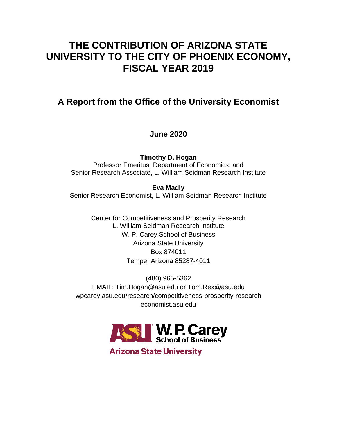# **THE CONTRIBUTION OF ARIZONA STATE UNIVERSITY TO THE CITY OF PHOENIX ECONOMY, FISCAL YEAR 2019**

## **A Report from the Office of the University Economist**

## **June 2020**

**Timothy D. Hogan** Professor Emeritus, Department of Economics, and Senior Research Associate, L. William Seidman Research Institute

**Eva Madly** Senior Research Economist, L. William Seidman Research Institute

> Center for Competitiveness and Prosperity Research L. William Seidman Research Institute W. P. Carey School of Business Arizona State University Box 874011 Tempe, Arizona 85287-4011

(480) 965-5362 EMAIL: Tim.Hogan@asu.edu or Tom.Rex@asu.edu wpcarey.asu.edu/research/competitiveness-prosperity-research economist.asu.edu



**Arizona State University**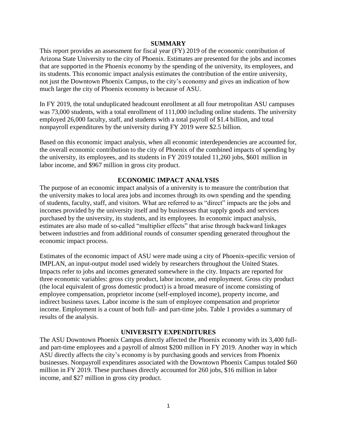## **SUMMARY**

This report provides an assessment for fiscal year (FY) 2019 of the economic contribution of Arizona State University to the city of Phoenix. Estimates are presented for the jobs and incomes that are supported in the Phoenix economy by the spending of the university, its employees, and its students. This economic impact analysis estimates the contribution of the entire university, not just the Downtown Phoenix Campus, to the city's economy and gives an indication of how much larger the city of Phoenix economy is because of ASU.

In FY 2019, the total unduplicated headcount enrollment at all four metropolitan ASU campuses was 73,000 students, with a total enrollment of 111,000 including online students. The university employed 26,000 faculty, staff, and students with a total payroll of \$1.4 billion, and total nonpayroll expenditures by the university during FY 2019 were \$2.5 billion.

Based on this economic impact analysis, when all economic interdependencies are accounted for, the overall economic contribution to the city of Phoenix of the combined impacts of spending by the university, its employees, and its students in FY 2019 totaled 11,260 jobs, \$601 million in labor income, and \$967 million in gross city product.

## **ECONOMIC IMPACT ANALYSIS**

The purpose of an economic impact analysis of a university is to measure the contribution that the university makes to local area jobs and incomes through its own spending and the spending of students, faculty, staff, and visitors. What are referred to as "direct" impacts are the jobs and incomes provided by the university itself and by businesses that supply goods and services purchased by the university, its students, and its employees. In economic impact analysis, estimates are also made of so-called "multiplier effects" that arise through backward linkages between industries and from additional rounds of consumer spending generated throughout the economic impact process.

Estimates of the economic impact of ASU were made using a city of Phoenix-specific version of IMPLAN, an input-output model used widely by researchers throughout the United States. Impacts refer to jobs and incomes generated somewhere in the city. Impacts are reported for three economic variables: gross city product, labor income, and employment. Gross city product (the local equivalent of gross domestic product) is a broad measure of income consisting of employee compensation, proprietor income (self-employed income), property income, and indirect business taxes. Labor income is the sum of employee compensation and proprietor income. Employment is a count of both full- and part-time jobs. Table 1 provides a summary of results of the analysis.

### **UNIVERSITY EXPENDITURES**

The ASU Downtown Phoenix Campus directly affected the Phoenix economy with its 3,400 fulland part-time employees and a payroll of almost \$200 million in FY 2019. Another way in which ASU directly affects the city's economy is by purchasing goods and services from Phoenix businesses. Nonpayroll expenditures associated with the Downtown Phoenix Campus totaled \$60 million in FY 2019. These purchases directly accounted for 260 jobs, \$16 million in labor income, and \$27 million in gross city product.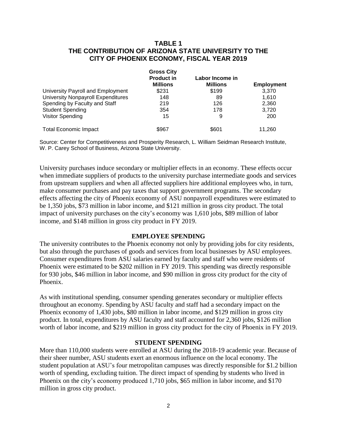## **TABLE 1 THE CONTRIBUTION OF ARIZONA STATE UNIVERSITY TO THE CITY OF PHOENIX ECONOMY, FISCAL YEAR 2019**

|                                           | <b>Gross City</b><br><b>Product in</b> | Labor Income in |                   |
|-------------------------------------------|----------------------------------------|-----------------|-------------------|
|                                           |                                        |                 |                   |
|                                           | <b>Millions</b>                        | <b>Millions</b> | <b>Employment</b> |
| University Payroll and Employment         | \$231                                  | \$199           | 3.370             |
| <b>University Nonpayroll Expenditures</b> | 148                                    | 89              | 1.610             |
| Spending by Faculty and Staff             | 219                                    | 126             | 2,360             |
| <b>Student Spending</b>                   | 354                                    | 178             | 3.720             |
| <b>Visitor Spending</b>                   | 15                                     | 9               | 200               |
| <b>Total Economic Impact</b>              | \$967                                  | \$601           | 11.260            |

Source: Center for Competitiveness and Prosperity Research, L. William Seidman Research Institute, W. P. Carey School of Business, Arizona State University.

University purchases induce secondary or multiplier effects in an economy. These effects occur when immediate suppliers of products to the university purchase intermediate goods and services from upstream suppliers and when all affected suppliers hire additional employees who, in turn, make consumer purchases and pay taxes that support government programs. The secondary effects affecting the city of Phoenix economy of ASU nonpayroll expenditures were estimated to be 1,350 jobs, \$73 million in labor income, and \$121 million in gross city product. The total impact of university purchases on the city's economy was 1,610 jobs, \$89 million of labor income, and \$148 million in gross city product in FY 2019.

## **EMPLOYEE SPENDING**

The university contributes to the Phoenix economy not only by providing jobs for city residents, but also through the purchases of goods and services from local businesses by ASU employees. Consumer expenditures from ASU salaries earned by faculty and staff who were residents of Phoenix were estimated to be \$202 million in FY 2019. This spending was directly responsible for 930 jobs, \$46 million in labor income, and \$90 million in gross city product for the city of Phoenix.

As with institutional spending, consumer spending generates secondary or multiplier effects throughout an economy. Spending by ASU faculty and staff had a secondary impact on the Phoenix economy of 1,430 jobs, \$80 million in labor income, and \$129 million in gross city product. In total, expenditures by ASU faculty and staff accounted for 2,360 jobs, \$126 million worth of labor income, and \$219 million in gross city product for the city of Phoenix in FY 2019.

### **STUDENT SPENDING**

More than 110,000 students were enrolled at ASU during the 2018-19 academic year. Because of their sheer number, ASU students exert an enormous influence on the local economy. The student population at ASU's four metropolitan campuses was directly responsible for \$1.2 billion worth of spending, excluding tuition. The direct impact of spending by students who lived in Phoenix on the city's economy produced 1,710 jobs, \$65 million in labor income, and \$170 million in gross city product.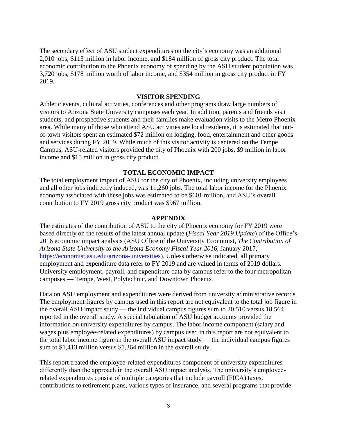The secondary effect of ASU student expenditures on the city's economy was an additional 2,010 jobs, \$113 million in labor income, and \$184 million of gross city product. The total economic contribution to the Phoenix economy of spending by the ASU student population was 3,720 jobs, \$178 million worth of labor income, and \$354 million in gross city product in FY 2019.

## **VISITOR SPENDING**

Athletic events, cultural activities, conferences and other programs draw large numbers of visitors to Arizona State University campuses each year. In addition, parents and friends visit students, and prospective students and their families make evaluation visits to the Metro Phoenix area. While many of those who attend ASU activities are local residents, it is estimated that outof-town visitors spent an estimated \$72 million on lodging, food, entertainment and other goods and services during FY 2019. While much of this visitor activity is centered on the Tempe Campus, ASU-related visitors provided the city of Phoenix with 200 jobs, \$9 million in labor income and \$15 million in gross city product.

## **TOTAL ECONOMIC IMPACT**

The total employment impact of ASU for the city of Phoenix, including university employees and all other jobs indirectly induced, was 11,260 jobs. The total labor income for the Phoenix economy associated with these jobs was estimated to be \$601 million, and ASU's overall contribution to FY 2019 gross city product was \$967 million.

#### **APPENDIX**

The estimates of the contribution of ASU to the city of Phoenix economy for FY 2019 were based directly on the results of the latest annual update (*Fiscal Year 2019 Update*) of the Office's 2016 economic impact analysis (ASU Office of the University Economist, *The Contribution of Arizona State University to the Arizona Economy Fiscal Year 2016*, January 2017, [https://economist.asu.edu/arizona-universities\)](https://economist.asu.edu/arizona-universities). Unless otherwise indicated, all primary employment and expenditure data refer to FY 2019 and are valued in terms of 2019 dollars. University employment, payroll, and expenditure data by campus refer to the four metropolitan campuses — Tempe, West, Polytechnic, and Downtown Phoenix.

Data on ASU employment and expenditures were derived from university administrative records. The employment figures by campus used in this report are not equivalent to the total job figure in the overall ASU impact study — the individual campus figures sum to 20,510 versus 18,564 reported in the overall study. A special tabulation of ASU budget accounts provided the information on university expenditures by campus. The labor income component (salary and wages plus employee-related expenditures) by campus used in this report are not equivalent to the total labor income figure in the overall ASU impact study — the individual campus figures sum to \$1,413 million versus \$1,364 million in the overall study.

This report treated the employee-related expenditures component of university expenditures differently than the approach in the overall ASU impact analysis. The university's employeerelated expenditures consist of multiple categories that include payroll (FICA) taxes, contributions to retirement plans, various types of insurance, and several programs that provide